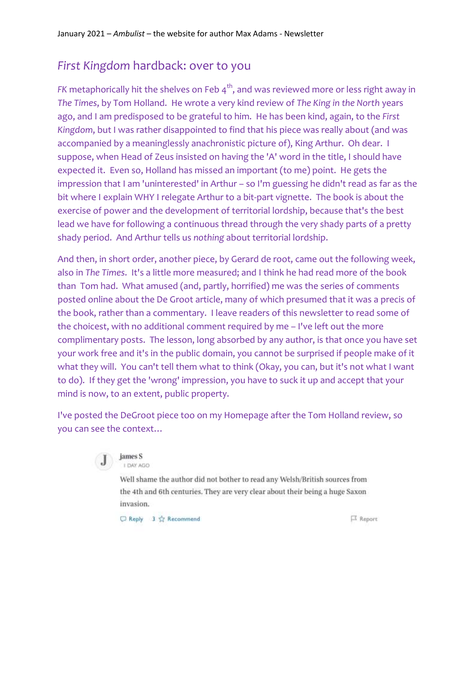## *First Kingdom* hardback: over to you

*FK* metaphorically hit the shelves on Feb 4<sup>th</sup>, and was reviewed more or less right away in *The Times*, by Tom Holland. He wrote a very kind review of *The King in the North* years ago, and I am predisposed to be grateful to him. He has been kind, again, to the *First Kingdom*, but I was rather disappointed to find that his piece was really about (and was accompanied by a meaninglessly anachronistic picture of), King Arthur. Oh dear. I suppose, when Head of Zeus insisted on having the 'A' word in the title, I should have expected it. Even so, Holland has missed an important (to me) point. He gets the impression that I am 'uninterested' in Arthur – so I'm guessing he didn't read as far as the bit where I explain WHY I relegate Arthur to a bit-part vignette. The book is about the exercise of power and the development of territorial lordship, because that's the best lead we have for following a continuous thread through the very shady parts of a pretty shady period. And Arthur tells us *nothing* about territorial lordship.

And then, in short order, another piece, by Gerard de root, came out the following week, also in *The Times*. It's a little more measured; and I think he had read more of the book than Tom had. What amused (and, partly, horrified) me was the series of comments posted online about the De Groot article, many of which presumed that it was a precis of the book, rather than a commentary. I leave readers of this newsletter to read some of the choicest, with no additional comment required by me – I've left out the more complimentary posts. The lesson, long absorbed by any author, is that once you have set your work free and it's in the public domain, you cannot be surprised if people make of it what they will. You can't tell them what to think (Okay, you can, but it's not what I want to do). If they get the 'wrong' impression, you have to suck it up and accept that your mind is now, to an extent, public property.

I've posted the DeGroot piece too on my Homepage after the Tom Holland review, so you can see the context…



# LDAY AGO

Well shame the author did not bother to read any Welsh/British sources from the 4th and 6th centuries. They are very clear about their being a huge Saxon invasion.

○ Reply 3 ☆ Recommend

Report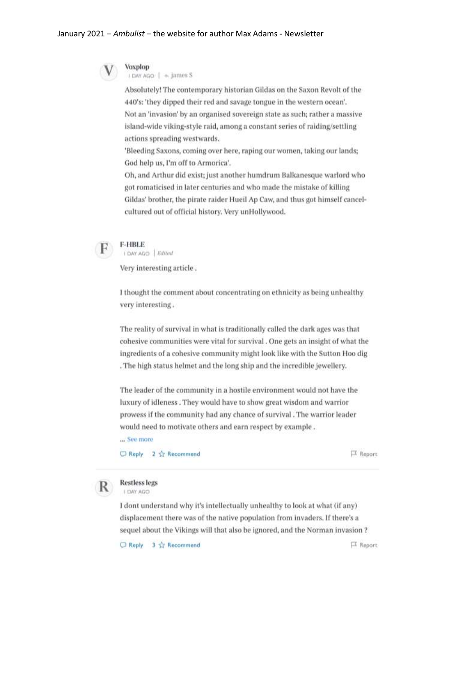### January 2021 - Ambulist - the website for author Max Adams - Newsletter



#### Voxplop I DAY AGO | + James S

Absolutely! The contemporary historian Gildas on the Saxon Revolt of the 440's: 'they dipped their red and savage tongue in the western ocean'. Not an 'invasion' by an organised sovereign state as such; rather a massive island-wide viking-style raid, among a constant series of raiding/settling actions spreading westwards.

'Bleeding Saxons, coming over here, raping our women, taking our lands; God help us, I'm off to Armorica'.

Oh, and Arthur did exist; just another humdrum Balkanesque warlord who got romaticised in later centuries and who made the mistake of killing Gildas' brother, the pirate raider Hueil Ap Caw, and thus got himself cancelcultured out of official history. Very unHollywood.



### **F-HBLE**

I DAY AGO | Edited

Very interesting article.

I thought the comment about concentrating on ethnicity as being unhealthy very interesting.

The reality of survival in what is traditionally called the dark ages was that cohesive communities were vital for survival. One gets an insight of what the ingredients of a cohesive community might look like with the Sutton Hoo dig . The high status helmet and the long ship and the incredible jewellery.

The leader of the community in a hostile environment would not have the luxury of idleness. They would have to show great wisdom and warrior prowess if the community had any chance of survival . The warrior leader would need to motivate others and earn respect by example.

... See more

○ Reply 2 ☆ Recommend

口 Report



#### **Restless legs** I DAY AGO

I dont understand why it's intellectually unhealthy to look at what (if any) displacement there was of the native population from invaders. If there's a sequel about the Vikings will that also be ignored, and the Norman invasion ?

Reply 3 to Recommend

口 Report